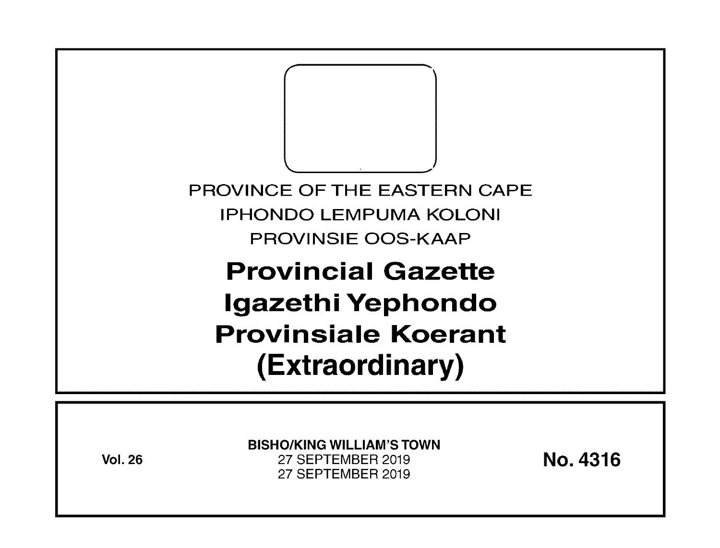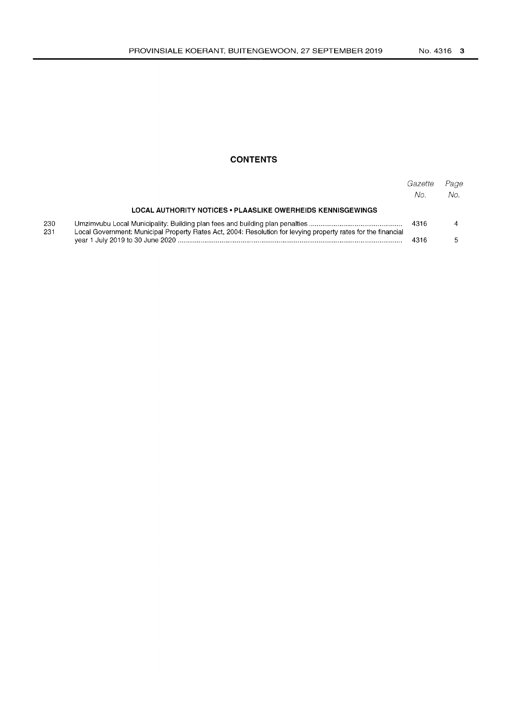## **CONTENTS**

|            |                                                                                                               | Gazette<br>No. | Page<br>No. |
|------------|---------------------------------------------------------------------------------------------------------------|----------------|-------------|
|            | LOCAL AUTHORITY NOTICES • PLAASLIKE OWERHEIDS KENNISGEWINGS                                                   |                |             |
| 230<br>231 | Local Government: Municipal Property Rates Act, 2004: Resolution for levying property rates for the financial |                |             |
|            |                                                                                                               | 4316           |             |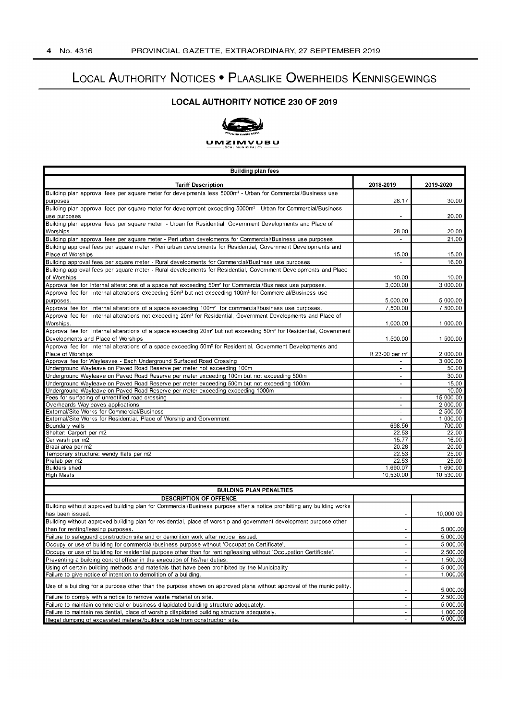# LOCAL AUTHORITY NOTICES • PLAASLIKE OWERHEIDS KENNISGEWINGS

## **LOCAL AUTHORITY NOTICE 230 OF 2019**



#### **UIVIZIIVIVUBU**

| <b>Building plan fees</b>                                                                                                                                                                                                   |                                    |                      |  |  |  |
|-----------------------------------------------------------------------------------------------------------------------------------------------------------------------------------------------------------------------------|------------------------------------|----------------------|--|--|--|
| <b>Tariff Description</b>                                                                                                                                                                                                   | 2018-2019                          | 2019-2020            |  |  |  |
| Building plan approval fees per square meter for develpments less 5000m <sup>2</sup> - Urban for Commercial/Business use                                                                                                    | 28.17                              | 30.00                |  |  |  |
| purposes<br>Building plan approval fees per square meter for development exceeding 5000m <sup>2</sup> - Urban for Commercial/Business                                                                                       |                                    |                      |  |  |  |
| use purposes<br>Building plan approval fees per square meter - Urban for Residential, Government Developments and Place of                                                                                                  |                                    | 20.00                |  |  |  |
| Worships                                                                                                                                                                                                                    | 28.00<br>$\mathbf{r}$              | 20.00<br>21.00       |  |  |  |
| Building plan approval fees per square meter - Peri urban develoments for Commercial/Business use purposes<br>Building approval fees per square meter - Peri urban develoments for Residential, Government Developments and |                                    |                      |  |  |  |
| Place of Worships                                                                                                                                                                                                           | 15.00                              | 15.00                |  |  |  |
| Building approval fees per square meter - Rural developments for Commercial/Business use purposes                                                                                                                           |                                    | 16.00                |  |  |  |
| Building approval fees per square meter - Rural developments for Residential, Government Developments and Place<br>of Worships                                                                                              | 10.00                              | 10.00                |  |  |  |
| Approval fee for Internal alterations of a space not exceeding 50m <sup>2</sup> for Commercial/Business use purposes.                                                                                                       | 3,000.00                           | 3,000.00             |  |  |  |
| Approval fee for Internal alterations exceeding 50m <sup>2</sup> but not exceeding 100m <sup>2</sup> for Commercial/Business use<br>purposes.                                                                               | 5,000.00                           | 5,000.00             |  |  |  |
| Approval fee for Internal alterations of a space exceeding 100m <sup>2</sup> for commercial/business use purposes.                                                                                                          | 7,500.00                           | 7,500.00             |  |  |  |
| Approval fee for Internal alterations not exceeding 20m <sup>2</sup> for Residential, Government Developments and Place of                                                                                                  |                                    |                      |  |  |  |
| Worships.                                                                                                                                                                                                                   | 1,000.00                           | 1,000.00             |  |  |  |
| Approval fee for Internal alterations of a space exceeding 20m <sup>2</sup> but not exceeding 50m <sup>2</sup> for Residential, Government                                                                                  |                                    |                      |  |  |  |
| Developments and Place of Worships                                                                                                                                                                                          | 1,500.00                           | 1,500.00             |  |  |  |
| Approval fee for Internal alterations of a space exceeding 50m <sup>2</sup> for Residential, Government Developments and                                                                                                    |                                    |                      |  |  |  |
| Place of Worships                                                                                                                                                                                                           | R 23-00 per m <sup>2</sup>         | 2,000.00             |  |  |  |
| Approval fee for Wayleaves - Each Underground Surfaced Road Crossing                                                                                                                                                        |                                    | 3,000.00             |  |  |  |
| Underground Wayleave on Paved Road Reserve per meter not exceeding 100m                                                                                                                                                     | $\blacksquare$                     | 50.00                |  |  |  |
| Underground Wayleave on Paved Road Reserve per meter exceeding 100m but not exceeding 500m                                                                                                                                  | $\sim$                             | 30.00                |  |  |  |
| Underground Wayleave on Paved Road Reserve per meter exceeding 500m but not exceeding 1000m                                                                                                                                 | $\blacksquare$                     | 15.00                |  |  |  |
| Underground Wayleave on Paved Road Reserve per meter exceeding exceeding 1000m                                                                                                                                              | $\overline{\phantom{a}}$           | 10.00                |  |  |  |
| Fees for surfacing of unrectified road crossing                                                                                                                                                                             | $\overline{\phantom{a}}$<br>$\sim$ | 15,000.00            |  |  |  |
| Overheards Wayleaves applications<br>External/Site Works for Commercial/Business                                                                                                                                            | $\blacksquare$                     | 2,000.00<br>2,500.00 |  |  |  |
| External/Site Works for Residential, Place of Worship and Gorvenment                                                                                                                                                        | $\blacksquare$                     | 1,000.00             |  |  |  |
| Boundary walls                                                                                                                                                                                                              | 698.56                             | 700.00               |  |  |  |
| Shelter: Carport per m2                                                                                                                                                                                                     | 22.53                              | 22.00                |  |  |  |
| Car wash per m2                                                                                                                                                                                                             | 15.77                              | 16.00                |  |  |  |
| Braai area per m2                                                                                                                                                                                                           | 20.28                              | 20.00                |  |  |  |
| Temporary structure: wendy flats per m2                                                                                                                                                                                     | 22.53                              | 25.00                |  |  |  |
| Prefab per m2                                                                                                                                                                                                               | 22.53                              | 25.00                |  |  |  |
| Builders shed                                                                                                                                                                                                               | 1,690.07                           | 1,690.00             |  |  |  |
| High Masts                                                                                                                                                                                                                  | 10,530.00                          | 10,530.00            |  |  |  |
| <b>BUILDING PLAN PENALTIES</b>                                                                                                                                                                                              |                                    |                      |  |  |  |
| <b>DESCRIPTION OF OFFENCE</b>                                                                                                                                                                                               |                                    |                      |  |  |  |
| Building without approved building plan for Commercial/Business purpose after a notice prohibiting any building works<br>has been issued.                                                                                   |                                    | 10,000.00            |  |  |  |
| Building without approved building plan for residential, place of worship and government development purpose other                                                                                                          |                                    |                      |  |  |  |
| than for renting/leasing purposes.<br>Failure to safeguard construction site and or demolition work after notice issued.                                                                                                    | ÷                                  | 5,000.00<br>5,000.00 |  |  |  |
| Occupy or use of building for commercial/business purpose without 'Occupation Certificate'.                                                                                                                                 | $\sim$                             | 5,000.00             |  |  |  |
| Occupy or use of building for residential purpose other than for renting/leasing without 'Occupation Certificate'.                                                                                                          | $\blacksquare$                     | 2,500.00             |  |  |  |
| Preventing a building control officer in the execution of his/her duties.                                                                                                                                                   | $\omega$                           | 1,500.00             |  |  |  |
| Using of certain building methods and materials that have been prohibited by the Municipality                                                                                                                               | $\blacksquare$                     | 5,000.00             |  |  |  |
| Failure to give notice of intention to demolition of a building                                                                                                                                                             | $\blacksquare$                     | 1,000.00             |  |  |  |
| Use of a building for a purpose other than the purpose shown on approved plans without approval of the municipality.                                                                                                        |                                    | 5.000.00             |  |  |  |
| Failure to comply with a notice to remove waste material on site.                                                                                                                                                           | $\bar{\phantom{a}}$                | 2,500.00             |  |  |  |
| Failure to maintain commercial or business dilapidated building structure adequately.                                                                                                                                       | $\blacksquare$                     | 5,000.00             |  |  |  |
| Failure to maintain residential, place of worship dilapidated building structure adequately.                                                                                                                                | $\blacksquare$                     | 1,000.00             |  |  |  |
| Illegal dumping of excavated material/builders ruble from construction site.                                                                                                                                                | $\omega$                           | 5,000.00             |  |  |  |